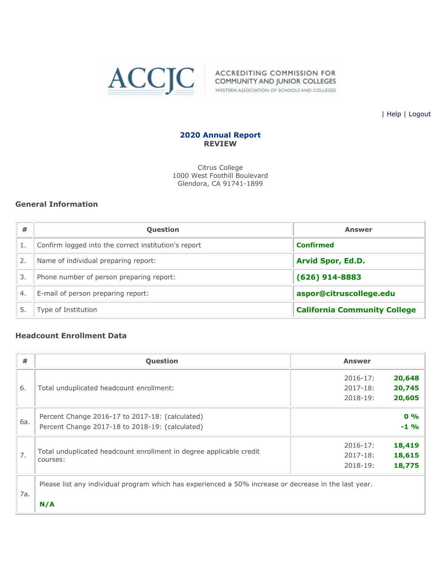

| [Help](javascript:newPopup() | [Logout](https://survey.accjc.org/annualreport/logout.php)

### **2020 Annual Report REVIEW**

Citrus College 1000 West Foothill Boulevard Glendora, CA 91741-1899

### **General Information**

| #  | <b>Question</b>                                      | <b>Answer</b>                       |
|----|------------------------------------------------------|-------------------------------------|
|    | Confirm logged into the correct institution's report | <b>Confirmed</b>                    |
| 2. | Name of individual preparing report:                 | <b>Arvid Spor, Ed.D.</b>            |
| 3. | Phone number of person preparing report:             | $(626)$ 914-8883                    |
| 4. | E-mail of person preparing report:                   | aspor@citruscollege.edu             |
|    | Type of Institution                                  | <b>California Community College</b> |

### **Headcount Enrollment Data**

**N/A**

| #   | Question                                                                                              | <b>Answer</b> |        |
|-----|-------------------------------------------------------------------------------------------------------|---------------|--------|
|     |                                                                                                       | $2016 - 17$ : | 20,648 |
| 6.  | Total unduplicated headcount enrollment:                                                              | $2017 - 18$ : | 20,745 |
|     |                                                                                                       | $2018 - 19:$  | 20,605 |
|     | Percent Change 2016-17 to 2017-18: (calculated)                                                       |               | $0\%$  |
| 6a. | Percent Change 2017-18 to 2018-19: (calculated)                                                       |               | $-1$ % |
| 7.  |                                                                                                       | $2016 - 17$ : | 18,419 |
|     | Total unduplicated headcount enrollment in degree applicable credit<br>courses:                       | $2017 - 18:$  | 18,615 |
|     |                                                                                                       | $2018 - 19:$  | 18,775 |
| 7a. | Please list any individual program which has experienced a 50% increase or decrease in the last year. |               |        |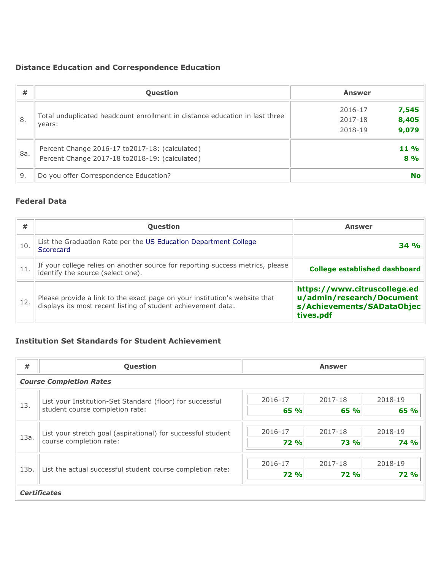# **Distance Education and Correspondence Education**

| #    | <b>Question</b>                                                                           | <b>Answer</b>                        |
|------|-------------------------------------------------------------------------------------------|--------------------------------------|
| ່ 8. | Total unduplicated headcount enrollment in distance education in last three               | 7,545<br>2016-17                     |
|      | years:                                                                                    | 8,405<br>2017-18<br>9,079<br>2018-19 |
| 8a.  | Percent Change 2016-17 to 2017-18: (calculated)                                           | $11\%$                               |
| 9.   | Percent Change 2017-18 to 2018-19: (calculated)<br>Do you offer Correspondence Education? | 8%<br><b>No</b>                      |

## **Federal Data**

| #   | <b>Question</b>                                                                                                                             | <b>Answer</b>                                                                                        |
|-----|---------------------------------------------------------------------------------------------------------------------------------------------|------------------------------------------------------------------------------------------------------|
| 10. | List the Graduation Rate per the US Education Department College<br>Scorecard                                                               | 34 %                                                                                                 |
| 11. | If your college relies on another source for reporting success metrics, please<br>identify the source (select one).                         | College established dashboard                                                                        |
| 12. | Please provide a link to the exact page on your institution's website that<br>displays its most recent listing of student achievement data. | https://www.citruscollege.ed<br>u/admin/research/Document<br>s/Achievements/SADataObjec<br>tives.pdf |

### **Institution Set Standards for Student Achievement**

| #                   | Question                                                                                |             | <b>Answer</b> |             |
|---------------------|-----------------------------------------------------------------------------------------|-------------|---------------|-------------|
|                     | <b>Course Completion Rates</b>                                                          |             |               |             |
| 13.                 | List your Institution-Set Standard (floor) for successful                               | 2016-17     | 2017-18       | 2018-19     |
|                     | student course completion rate:                                                         | 65 %        | 65 %          | 65 %        |
|                     |                                                                                         | 2016-17     | 2017-18       | 2018-19     |
| 13a.                | List your stretch goal (aspirational) for successful student<br>course completion rate: | <b>72 %</b> | <b>73 %</b>   | <b>74 %</b> |
|                     |                                                                                         |             |               |             |
| 13b.                | List the actual successful student course completion rate:                              | 2016-17     | 2017-18       | 2018-19     |
|                     |                                                                                         | <b>72 %</b> | <b>72 %</b>   | <b>72 %</b> |
| <b>Certificates</b> |                                                                                         |             |               |             |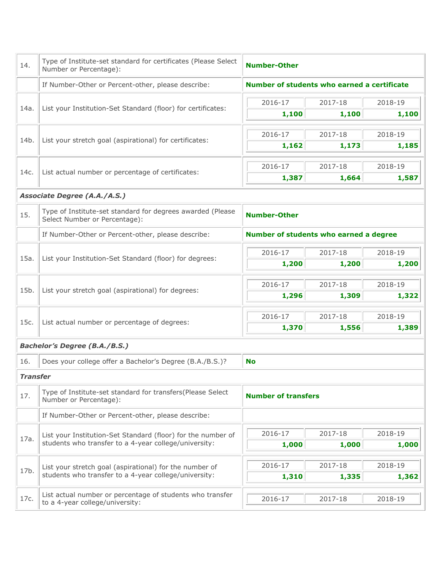| Number of students who earned a certificate<br>2018-19<br>1,100<br>2018-19<br>1,185<br>2018-19<br>1,587 |  |  |  |
|---------------------------------------------------------------------------------------------------------|--|--|--|
|                                                                                                         |  |  |  |
|                                                                                                         |  |  |  |
|                                                                                                         |  |  |  |
|                                                                                                         |  |  |  |
|                                                                                                         |  |  |  |
|                                                                                                         |  |  |  |
|                                                                                                         |  |  |  |
|                                                                                                         |  |  |  |
| <b>Number-Other</b>                                                                                     |  |  |  |
| Number of students who earned a degree                                                                  |  |  |  |
| 2018-19                                                                                                 |  |  |  |
| 1,200                                                                                                   |  |  |  |
| 2018-19                                                                                                 |  |  |  |
| 1,322                                                                                                   |  |  |  |
| 2018-19                                                                                                 |  |  |  |
| 1,389                                                                                                   |  |  |  |
|                                                                                                         |  |  |  |
|                                                                                                         |  |  |  |
|                                                                                                         |  |  |  |
| <b>Number of transfers</b>                                                                              |  |  |  |
|                                                                                                         |  |  |  |
| 2018-19                                                                                                 |  |  |  |
| 1,000                                                                                                   |  |  |  |
| 2018-19                                                                                                 |  |  |  |
| 1,362                                                                                                   |  |  |  |
|                                                                                                         |  |  |  |
|                                                                                                         |  |  |  |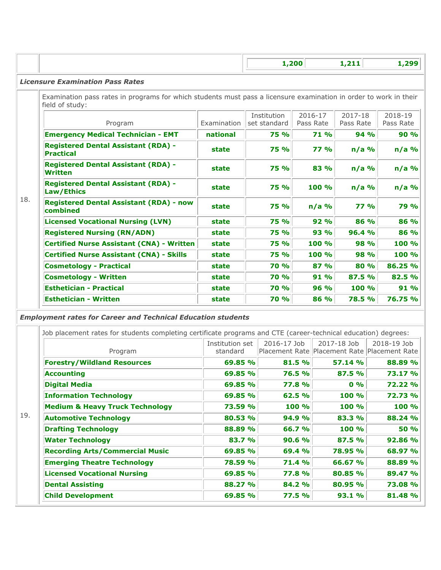|                                                                                                                                      |             |                             | 1,200                | 1,211                | 1,299                |
|--------------------------------------------------------------------------------------------------------------------------------------|-------------|-----------------------------|----------------------|----------------------|----------------------|
| <b>Licensure Examination Pass Rates</b>                                                                                              |             |                             |                      |                      |                      |
| Examination pass rates in programs for which students must pass a licensure examination in order to work in their<br>field of study: |             |                             |                      |                      |                      |
| Program                                                                                                                              | Examination | Institution<br>set standard | 2016-17<br>Pass Rate | 2017-18<br>Pass Rate | 2018-19<br>Pass Rate |
| <b>Emergency Medical Technician - EMT</b>                                                                                            | national    | <b>75 %</b>                 | <b>71 %</b>          | 94 %                 | 90%                  |
| <b>Registered Dental Assistant (RDA) -</b><br><b>Practical</b>                                                                       | state       | <b>75 %</b>                 | 77.96                | $n/a$ %              | $n/a$ %              |
| <b>Registered Dental Assistant (RDA) -</b><br><b>Written</b>                                                                         | state       | <b>75 %</b>                 | 83 %                 | $n/a$ %              | $n/a$ %              |
| <b>Registered Dental Assistant (RDA) -</b><br>Law/Ethics                                                                             | state       | 75 %                        | 100 %                | $n/a$ %              | $n/a$ %              |
| 18.<br><b>Registered Dental Assistant (RDA) - now</b><br>combined                                                                    | state       | 75 %                        | $n/a$ %              | 77%                  | 79 %                 |
| <b>Licensed Vocational Nursing (LVN)</b>                                                                                             | state       | <b>75 %</b>                 | 92%                  | 86 %                 | 86 %                 |
| <b>Registered Nursing (RN/ADN)</b>                                                                                                   | state       | <b>75 %</b>                 | 93 %                 | 96.4 %               | 86 %                 |
| <b>Certified Nurse Assistant (CNA) - Written</b>                                                                                     | state       | <b>75 %</b>                 | 100 %                | 98 %                 | 100 %                |
| <b>Certified Nurse Assistant (CNA) - Skills</b>                                                                                      | state       | <b>75 %</b>                 | 100 %                | 98 %                 | 100 %                |
| <b>Cosmetology - Practical</b>                                                                                                       | state       | <b>70 %</b>                 | 87 %                 | 80 %                 | 86.25 %              |
| <b>Cosmetology - Written</b>                                                                                                         | state       | <b>70 %</b>                 | 91 %                 | 87.5 %               | 82.5 %               |

*Employment rates for Career and Technical Education students*

|                                            | Institution set | 2016-17 Job  | 2017-18 Job                                  | 2018-19 Job |
|--------------------------------------------|-----------------|--------------|----------------------------------------------|-------------|
| Program                                    | standard        |              | Placement Rate Placement Rate Placement Rate |             |
| <b>Forestry/Wildland Resources</b>         | 69.85 %         | 81.5 %       | 57.14 %                                      | 88.89 %     |
| <b>Accounting</b>                          | 69.85 %         | 76.5 %       | 87.5 %                                       | 73.17 %     |
| <b>Digital Media</b>                       | 69.85 %         | <b>77.8%</b> | $0\%$                                        | 72.22 %     |
| <b>Information Technology</b>              | 69.85 %         | 62.5 %       | 100 %                                        | 72.73 %     |
| <b>Medium &amp; Heavy Truck Technology</b> | 73.59 %         | 100 %        | 100 %                                        | 100%        |
| <b>Automotive Technology</b>               | 80.53 %         | 94.9 %       | 83.3 %                                       | 88.24 %     |
| <b>Drafting Technology</b>                 | 88.89 %         | 66.7 %       | 100 %                                        | <b>50 %</b> |
| <b>Water Technology</b>                    | 83.7 %          | 90.6%        | 87.5 %                                       | 92.86 %     |
| <b>Recording Arts/Commercial Music</b>     | 69.85 %         | 69.4 %       | 78.95 %                                      | 68.97 %     |
| <b>Emerging Theatre Technology</b>         | 78.59 %         | 71.4 %       | 66.67 %                                      | 88.89 %     |
| <b>Licensed Vocational Nursing</b>         | 69.85 %         | 77.8 %       | 80.85 %                                      | 89.47 %     |
| <b>Dental Assisting</b>                    | 88.27 %         | 84.2 %       | 80.95 %                                      | 73.08 %     |
| <b>Child Development</b>                   | 69.85 %         | 77.5%        | 93.1 %                                       | 81.48 %     |

**Esthetician - Practical state 70 % 96 % 100 % 91 % Esthetician - Written state 70 % 86 % 78.5 % 76.75 %**